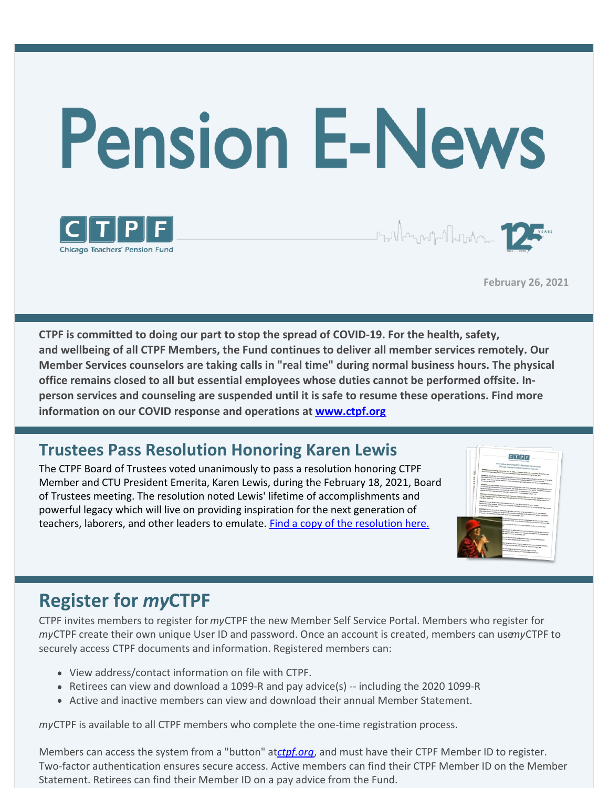

**February 26, 2021**

**CTPF is committed to doing our part to stop the spread of COVID-19. For the health, safety, and wellbeing of all CTPF Members, the Fund continues to deliver all member services remotely. Our Member Services counselors are taking calls in "real time" during normal business hours. The physical office remains closed to all but essential employees whose duties cannot be performed offsite. Inperson services and counseling are suspended until it is safe to resume these operations. Find more information on our COVID response and operations at [www.ctpf.org](http://www.ctpf.org)**

### **Trustees Pass Resolution Honoring Karen Lewis**

The CTPF Board of Trustees voted unanimously to pass a resolution honoring CTPF Member and CTU President Emerita, Karen Lewis, during the February 18, 2021, Board of Trustees meeting. The resolution noted Lewis' lifetime of accomplishments and powerful legacy which will live on providing inspiration for the next generation of teachers, laborers, and other leaders to emulate. **Find a copy of the [resolution](https://www.ctpf.org/news/ctpf-trustees-pass-resolution-honoring-karen-lewis-ctu-president-emerita) here.** 



# **Register for** *my***CTPF**

CTPF invites members to register for*my*CTPF the new Member Self Service Portal. Members who register for *my*CTPF create their own unique User ID and password. Once an account is created, members can use*my*CTPF to securely access CTPF documents and information. Registered members can:

- View address/contact information on file with CTPF.
- Retirees can view and download a 1099-R and pay advice(s) -- including the 2020 1099-R
- Active and inactive members can view and download their annual Member Statement.

*my*CTPF is available to all CTPF members who complete the one-time registration process.

Members can access the system from a "button" at*[ctpf.org](http://www.ctpf.org)*, and must have their CTPF Member ID to register. Two-factor authentication ensures secure access. Active members can find their CTPF Member ID on the Member Statement. Retirees can find their Member ID on a pay advice from the Fund.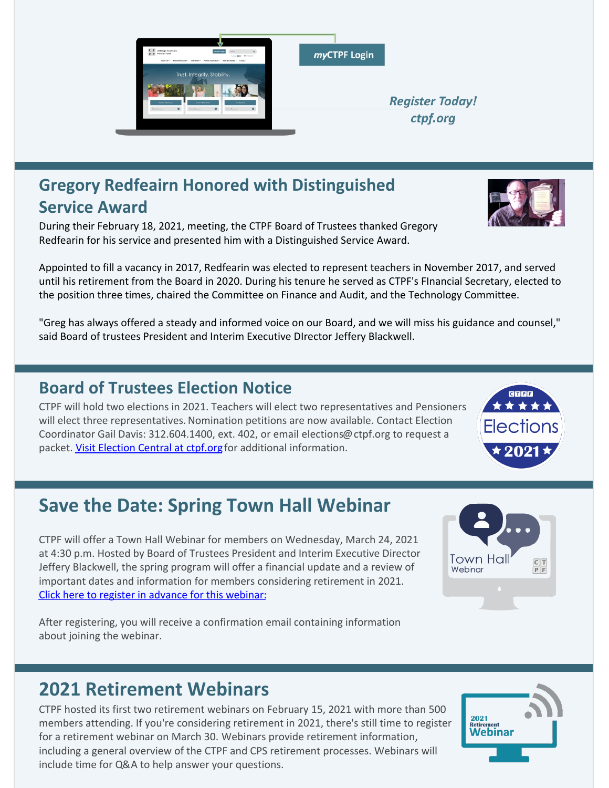

### **Gregory Redfeairn Honored with Distinguished Service Award**

During their February 18, 2021, meeting, the CTPF Board of Trustees thanked Gregory Redfearin for his service and presented him with a Distinguished Service Award.

Appointed to fill a vacancy in 2017, Redfearin was elected to represent teachers in November 2017, and served until his retirement from the Board in 2020. During his tenure he served as CTPF's FInancial Secretary, elected to the position three times, chaired the Committee on Finance and Audit, and the Technology Committee.

"Greg has always offered a steady and informed voice on our Board, and we will miss his guidance and counsel," said Board of trustees President and Interim Executive DIrector Jeffery Blackwell.

### **Board of Trustees Election Notice**

CTPF will hold two elections in 2021. Teachers will elect two representatives and Pensioners will elect three representatives. Nomination petitions are now available. Contact Election Coordinator Gail Davis: 312.604.1400, ext. 402, or email elections@ctpf.org to request a packet. [Visit Election Central at ctpf.org](https://www.ctpf.org/about-ctpf/election-central-2021) for additional information.

# **Save the Date: Spring Town Hall Webinar**

CTPF will offer a Town Hall Webinar for members on Wednesday, March 24, 2021 at 4:30 p.m. Hosted by Board of Trustees President and Interim Executive Director Jeffery Blackwell, the spring program will offer a financial update and a review of important dates and information for members considering retirement in 2021. [Click here to register in advance for this webinar](https://ctpf.zoom.us/webinar/register/WN_LM9q9es_ROaV583qdav8sw):

After registering, you will receive a confirmation email containing information about joining the webinar.

## **2021 Retirement Webinars**

CTPF hosted its first two retirement webinars on February 15, 2021 with more than 500 members attending. If you're considering retirement in 2021, there's still time to register for a retirement webinar on March 30. Webinars provide retirement information, including a general overview of the CTPF and CPS retirement processes. Webinars will include time for Q&A to help answer your questions.







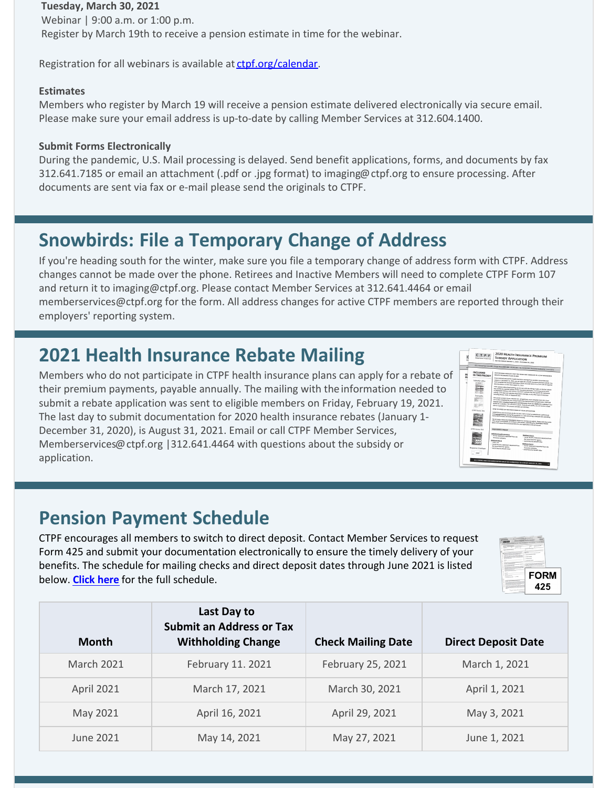#### **Tuesday, March 30, 2021**

Webinar | 9:00 a.m. or 1:00 p.m. Register by March 19th to receive a pension estimate in time for the webinar.

Registration for all webinars is available at [ctpf.org/calendar](http://ctpf.org/calendar).

#### **Estimates**

Members who register by March 19 will receive a pension estimate delivered electronically via secure email. Please make sure your email address is up-to-date by calling Member Services at 312.604.1400.

#### **Submit Forms Electronically**

During the pandemic, U.S. Mail processing is delayed. Send benefit applications, forms, and documents by fax 312.641.7185 or email an attachment (.pdf or .jpg format) to imaging@ctpf.org to ensure processing. After documents are sent via fax or e-mail please send the originals to CTPF.

## **Snowbirds: File a Temporary Change of Address**

If you're heading south for the winter, make sure you file a temporary change of address form with CTPF. Address changes cannot be made over the phone. Retirees and Inactive Members will need to complete CTPF Form 107 and return it to imaging@ctpf.org. Please contact Member Services at 312.641.4464 or email memberservices@ctpf.org for the form. All address changes for active CTPF members are reported through their employers' reporting system.

### **2021 Health Insurance Rebate Mailing**

Members who do not participate in CTPF health insurance plans can apply for a rebate of their premium payments, payable annually. The mailing with the information needed to submit a rebate application was sent to eligible members on Friday, February 19, 2021. The last day to submit documentation for 2020 health insurance rebates (January 1- December 31, 2020), is August 31, 2021. Email or call CTPF Member Services, Memberservices@ctpf.org |312.641.4464 with questions about the subsidy or application.



### **Pension Payment Schedule**

CTPF encourages all members to switch to direct deposit. Contact Member Services to request Form 425 and submit your documentation electronically to ensure the timely delivery of your benefits. The schedule for mailing checks and direct deposit dates through June 2021 is listed below. **[Click here](https://www.ctpf.org/pension-payments)** for the full schedule.



| Month             | Last Day to<br><b>Submit an Address or Tax</b><br><b>Withholding Change</b> | <b>Check Mailing Date</b> | <b>Direct Deposit Date</b> |
|-------------------|-----------------------------------------------------------------------------|---------------------------|----------------------------|
| <b>March 2021</b> | February 11. 2021                                                           | February 25, 2021         | March 1, 2021              |
| <b>April 2021</b> | March 17, 2021                                                              | March 30, 2021            | April 1, 2021              |
| May 2021          | April 16, 2021                                                              | April 29, 2021            | May 3, 2021                |
| June 2021         | May 14, 2021                                                                | May 27, 2021              | June 1, 2021               |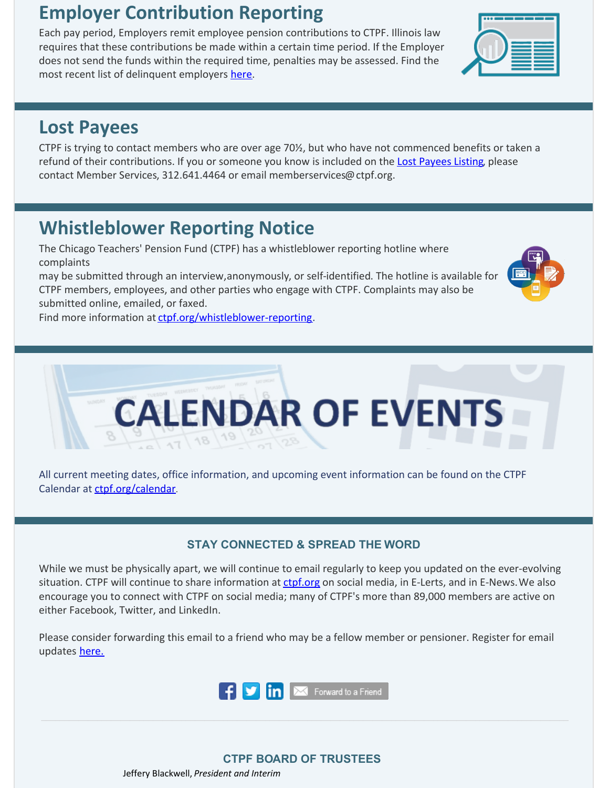# **Employer Contribution Reporting**

Each pay period, Employers remit employee pension contributions to CTPF. Illinois law requires that these contributions be made within a certain time period. If the Employer does not send the funds within the required time, penalties may be assessed. Find the most recent list of delinquent employers [here](http://ctpf.org/employer-contribution-reporting).

## **Lost Payees**

CTPF is trying to contact members who are over age 70½, but who have not commenced benefits or taken a refund of their contributions. If you or someone you know is included on the Lost [Payees](https://www.ctpf.org/sites/files/2020-10/lost_payees_last_school_worked_website_list_2.pdf) Listing, please contact Member Services, 312.641.4464 or email memberservices@ctpf.org.

# **Whistleblower Reporting Notice**

The Chicago Teachers' Pension Fund (CTPF) has a whistleblower reporting hotline where complaints

may be submitted through an interview,anonymously, or self-identified. The hotline is available for CTPF members, employees, and other parties who engage with CTPF. Complaints may also be submitted online, emailed, or faxed.

Find more information at [ctpf.org/whistleblower-reporting](http://ctpf.org/whistleblower-reporting).

 $\frac{1}{17}$  18  $19$ 

All current meeting dates, office information, and upcoming event information can be found on the CTPF Calendar at [ctpf.org/calendar](http://www.ctpf.org/calendar).

#### **STAY CONNECTED & SPREAD THE WORD**

**CALENDAR OF EVENTS** 

While we must be physically apart, we will continue to email regularly to keep you updated on the ever-evolving situation. CTPF will continue to share information at [ctpf.org](http://ctpf.org) on social media, in E-Lerts, and in E-News. We also encourage you to connect with CTPF on social media; many of CTPF's more than 89,000 members are active on either Facebook, Twitter, and LinkedIn.

Please consider forwarding this email to a friend who may be a fellow member or pensioner. Register for email updates [here.](https://www.ctpf.org/)



#### **CTPF BOARD OF TRUSTEES**

Jeffery Blackwell, *President and Interim*